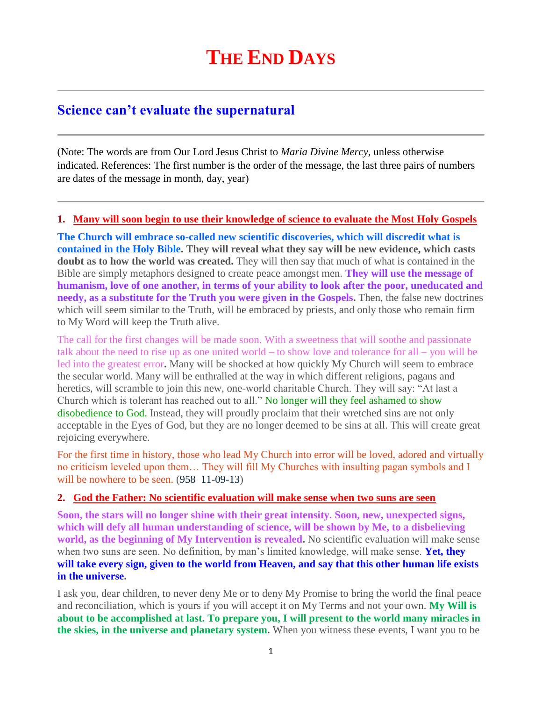## **Science can't evaluate the supernatural**

(Note: The words are from Our Lord Jesus Christ to *Maria Divine Mercy*, unless otherwise indicated. References: The first number is the order of the message, the last three pairs of numbers are dates of the message in month, day, year)

## **1. [Many will soon begin to use their knowledge of science to evaluate the Most Holy Gospels](http://www.thewarningsecondcoming.com/many-will-soon-begin-to-use-their-knowledge-of-science-to-evaluate-the-most-holy-gospels/)**

**The Church will embrace so-called new scientific discoveries, which will discredit what is contained in the Holy Bible. They will reveal what they say will be new evidence, which casts doubt as to how the world was created.** They will then say that much of what is contained in the Bible are simply metaphors designed to create peace amongst men. **They will use the message of humanism, love of one another, in terms of your ability to look after the poor, uneducated and needy, as a substitute for the Truth you were given in the Gospels.** Then, the false new doctrines which will seem similar to the Truth, will be embraced by priests, and only those who remain firm to My Word will keep the Truth alive.

The call for the first changes will be made soon. With a sweetness that will soothe and passionate talk about the need to rise up as one united world – to show love and tolerance for all – you will be led into the greatest error**.** Many will be shocked at how quickly My Church will seem to embrace the secular world. Many will be enthralled at the way in which different religions, pagans and heretics, will scramble to join this new, one-world charitable Church. They will say: "At last a Church which is tolerant has reached out to all." No longer will they feel ashamed to show disobedience to God. Instead, they will proudly proclaim that their wretched sins are not only acceptable in the Eyes of God, but they are no longer deemed to be sins at all. This will create great rejoicing everywhere.

For the first time in history, those who lead My Church into error will be loved, adored and virtually no criticism leveled upon them… They will fill My Churches with insulting pagan symbols and I will be nowhere to be seen. (958 11-09-13)

## **2. [God the Father: No scientific evaluation will make sense when two suns are seen](http://www.thewarningsecondcoming.com/god-the-father-no-scientific-evaluation-will-make-sense-when-two-suns-are-seen/)**

**Soon, the stars will no longer shine with their great intensity. Soon, new, unexpected signs, which will defy all human understanding of science, will be shown by Me, to a disbelieving world, as the beginning of My Intervention is revealed.** No scientific evaluation will make sense when two suns are seen. No definition, by man's limited knowledge, will make sense. **Yet, they will take every sign, given to the world from Heaven, and say that this other human life exists in the universe.**

I ask you, dear children, to never deny Me or to deny My Promise to bring the world the final peace and reconciliation, which is yours if you will accept it on My Terms and not your own. **My Will is about to be accomplished at last. To prepare you, I will present to the world many miracles in the skies, in the universe and planetary system.** When you witness these events, I want you to be